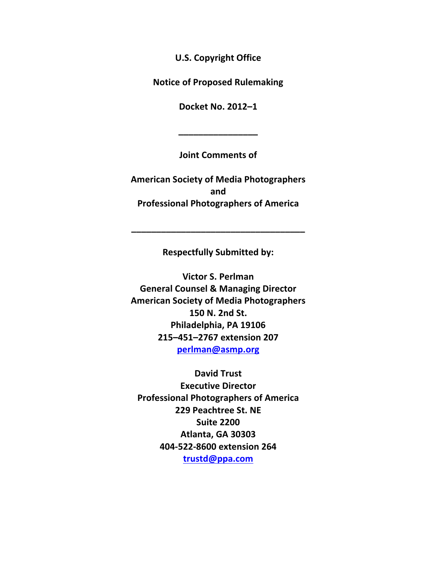**U.S. Copyright Office** 

**Notice of Proposed Rulemaking** 

**Docket\$No.\$2012–1**

**\_\_\_\_\_\_\_\_\_\_\_\_\_\_\_\_**

**Joint\$Comments\$of**

**American Society of Media Photographers and Professional\$Photographers\$of\$America**

**Respectfully Submitted by:** 

**\_\_\_\_\_\_\_\_\_\_\_\_\_\_\_\_\_\_\_\_\_\_\_\_\_\_\_\_\_\_\_\_\_\_\_**

**Victor S. Perlman General Counsel & Managing Director American Society of Media Photographers 150 N. 2nd St.** Philadelphia, PA 19106 **215–451–2767\$extension\$207 perlman@asmp.org**

**David\$Trust Executive Director Professional Photographers of America 229 Peachtree St. NE Suite\$2200 Atlanta,\$GA\$30303 404W522W8600\$extension\$264 trustd@ppa.com**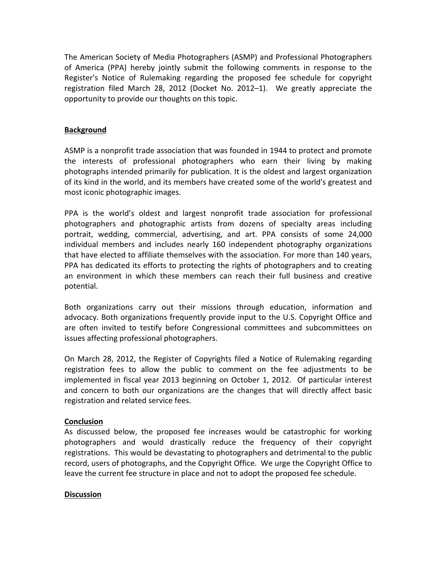The American Society of Media Photographers (ASMP) and Professional Photographers of America (PPA) hereby jointly submit the following comments in response to the Register's Notice of Rulemaking regarding the proposed fee schedule for copyright registration filed March 28, 2012 (Docket No. 2012–1). We greatly appreciate the opportunity to provide our thoughts on this topic.

### **Background**

ASMP is a nonprofit trade association that was founded in 1944 to protect and promote the interests of professional photographers who earn their living by making photographs intended primarily for publication. It is the oldest and largest organization of its kind in the world, and its members have created some of the world's greatest and most iconic photographic images.

PPA is the world's oldest and largest nonprofit trade association for professional photographers and photographic artists from dozens of specialty areas including portrait, wedding, commercial, advertising, and art. PPA consists of some 24,000 individual members and includes nearly 160 independent photography organizations that have elected to affiliate themselves with the association. For more than 140 years, PPA has dedicated its efforts to protecting the rights of photographers and to creating an environment in which these members can reach their full business and creative potential.

Both organizations carry out their missions through education, information and advocacy. Both organizations frequently provide input to the U.S. Copyright Office and are often invited to testify before Congressional committees and subcommittees on issues affecting professional photographers.

On March 28, 2012, the Register of Copyrights filed a Notice of Rulemaking regarding registration fees to allow the public to comment on the fee adjustments to be implemented in fiscal year 2013 beginning on October 1, 2012. Of particular interest and concern to both our organizations are the changes that will directly affect basic registration and related service fees.

## **Conclusion**

As discussed below, the proposed fee increases would be catastrophic for working photographers and would drastically reduce the frequency of their copyright registrations. This would be devastating to photographers and detrimental to the public record, users of photographs, and the Copyright Office. We urge the Copyright Office to leave the current fee structure in place and not to adopt the proposed fee schedule.

#### **Discussion**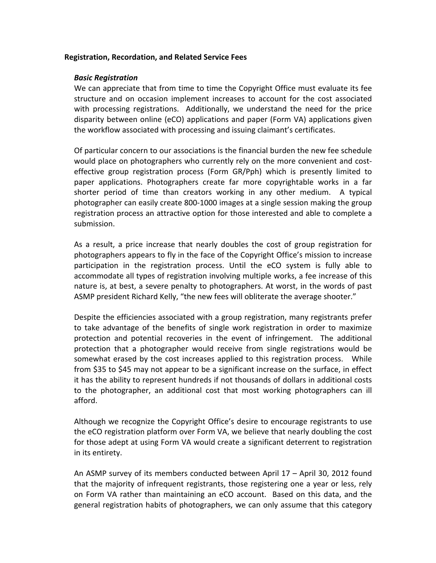#### **Registration, Recordation, and Related Service Fees**

#### *Basic&Registration*

We can appreciate that from time to time the Copyright Office must evaluate its fee structure and on occasion implement increases to account for the cost associated with processing registrations. Additionally, we understand the need for the price disparity between online (eCO) applications and paper (Form VA) applications given the workflow associated with processing and issuing claimant's certificates.

Of particular concern to our associations is the financial burden the new fee schedule would place on photographers who currently rely on the more convenient and costeffective group registration process (Form GR/Pph) which is presently limited to paper applications. Photographers create far more copyrightable works in a far shorter period of time than creators working in any other medium. A typical photographer can easily create 800-1000 images at a single session making the group registration process an attractive option for those interested and able to complete a submission.

As a result, a price increase that nearly doubles the cost of group registration for photographers appears to fly in the face of the Copyright Office's mission to increase participation in the registration process. Until the eCO system is fully able to accommodate all types of registration involving multiple works, a fee increase of this nature is, at best, a severe penalty to photographers. At worst, in the words of past ASMP president Richard Kelly, "the new fees will obliterate the average shooter."

Despite the efficiencies associated with a group registration, many registrants prefer to take advantage of the benefits of single work registration in order to maximize protection and potential recoveries in the event of infringement. The additional protection that a photographer would receive from single registrations would be somewhat erased by the cost increases applied to this registration process. While from \$35 to \$45 may not appear to be a significant increase on the surface, in effect it has the ability to represent hundreds if not thousands of dollars in additional costs to the photographer, an additional cost that most working photographers can ill afford.

Although we recognize the Copyright Office's desire to encourage registrants to use the eCO registration platform over Form VA, we believe that nearly doubling the cost for those adept at using Form VA would create a significant deterrent to registration in its entirety.

An ASMP survey of its members conducted between April 17 – April 30, 2012 found that the majority of infrequent registrants, those registering one a year or less, rely on Form VA rather than maintaining an eCO account. Based on this data, and the general registration habits of photographers, we can only assume that this category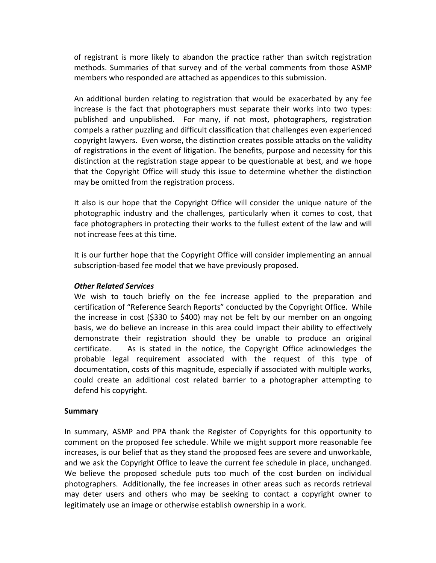of registrant is more likely to abandon the practice rather than switch registration methods. Summaries of that survey and of the verbal comments from those ASMP members who responded are attached as appendices to this submission.

An additional burden relating to registration that would be exacerbated by any fee increase is the fact that photographers must separate their works into two types: published and unpublished. For many, if not most, photographers, registration compels a rather puzzling and difficult classification that challenges even experienced copyright lawyers. Even worse, the distinction creates possible attacks on the validity of registrations in the event of litigation. The benefits, purpose and necessity for this distinction at the registration stage appear to be questionable at best, and we hope that the Copyright Office will study this issue to determine whether the distinction may be omitted from the registration process.

It also is our hope that the Copyright Office will consider the unique nature of the photographic industry and the challenges, particularly when it comes to cost, that face photographers in protecting their works to the fullest extent of the law and will not increase fees at this time.

It is our further hope that the Copyright Office will consider implementing an annual subscription-based fee model that we have previously proposed.

#### **Other Related Services**

We wish to touch briefly on the fee increase applied to the preparation and certification of "Reference Search Reports" conducted by the Copyright Office. While the increase in cost (\$330 to \$400) may not be felt by our member on an ongoing basis, we do believe an increase in this area could impact their ability to effectively demonstrate their registration should they be unable to produce an original certificate. As is stated in the notice, the Copyright Office acknowledges the probable legal requirement associated with the request of this type of documentation, costs of this magnitude, especially if associated with multiple works, could create an additional cost related barrier to a photographer attempting to defend his copyright.

#### **Summary**

In summary, ASMP and PPA thank the Register of Copyrights for this opportunity to comment on the proposed fee schedule. While we might support more reasonable fee increases, is our belief that as they stand the proposed fees are severe and unworkable, and we ask the Copyright Office to leave the current fee schedule in place, unchanged. We believe the proposed schedule puts too much of the cost burden on individual photographers. Additionally, the fee increases in other areas such as records retrieval may deter users and others who may be seeking to contact a copyright owner to legitimately use an image or otherwise establish ownership in a work.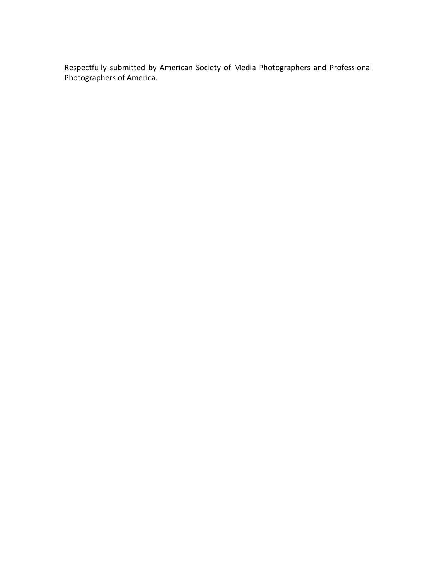Respectfully submitted by American Society of Media Photographers and Professional Photographers of America.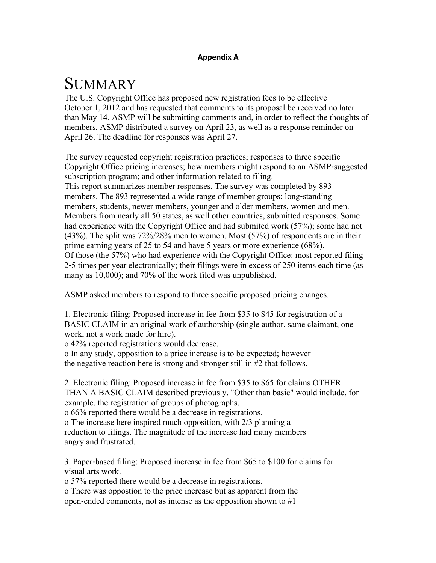## **Appendix\$A**

## **SUMMARY**

The U.S. Copyright Office has proposed new registration fees to be effective October 1, 2012 and has requested that comments to its proposal be received no later than May 14. ASMP will be submitting comments and, in order to reflect the thoughts of members, ASMP distributed a survey on April 23, as well as a response reminder on April 26. The deadline for responses was April 27.

The survey requested copyright registration practices; responses to three specific Copyright Office pricing increases; how members might respond to an ASMP**!**suggested subscription program; and other information related to filing. This report summarizes member responses. The survey was completed by 893 members. The 893 represented a wide range of member groups: long-standing members, students, newer members, younger and older members, women and men. Members from nearly all 50 states, as well other countries, submitted responses. Some had experience with the Copyright Office and had submited work (57%); some had not (43%). The split was 72%/28% men to women. Most (57%) of respondents are in their prime earning years of 25 to 54 and have 5 years or more experience (68%). Of those (the 57%) who had experience with the Copyright Office: most reported filing 2**!**5 times per year electronically; their filings were in excess of 250 items each time (as many as 10,000); and 70% of the work filed was unpublished.

ASMP asked members to respond to three specific proposed pricing changes.

1. Electronic filing: Proposed increase in fee from \$35 to \$45 for registration of a BASIC CLAIM in an original work of authorship (single author, same claimant, one work, not a work made for hire).

o 42% reported registrations would decrease.

o In any study, opposition to a price increase is to be expected; however the negative reaction here is strong and stronger still in #2 that follows.

2. Electronic filing: Proposed increase in fee from \$35 to \$65 for claims OTHER THAN A BASIC CLAIM described previously. "Other than basic" would include, for example, the registration of groups of photographs.

o 66% reported there would be a decrease in registrations.

o The increase here inspired much opposition, with 2/3 planning a

reduction to filings. The magnitude of the increase had many members angry and frustrated.

3. Paper**!**based filing: Proposed increase in fee from \$65 to \$100 for claims for visual arts work.

o 57% reported there would be a decrease in registrations.

o There was oppostion to the price increase but as apparent from the open-ended comments, not as intense as the opposition shown to #1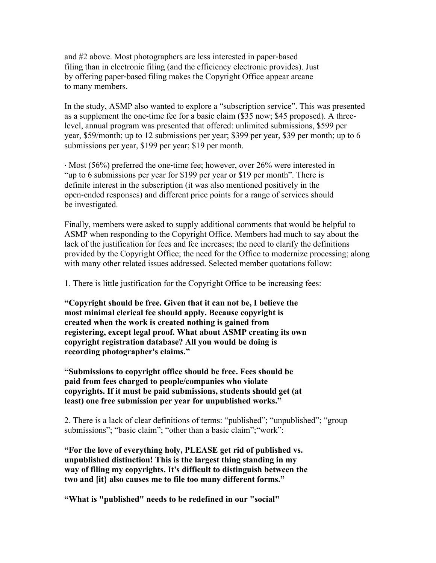and #2 above. Most photographers are less interested in paper-based filing than in electronic filing (and the efficiency electronic provides). Just by offering paper**!**based filing makes the Copyright Office appear arcane to many members.

In the study, ASMP also wanted to explore a "subscription service". This was presented as a supplement the one-time fee for a basic claim (\$35 now; \$45 proposed). A threelevel, annual program was presented that offered: unlimited submissions, \$599 per year, \$59/month; up to 12 submissions per year; \$399 per year, \$39 per month; up to 6 submissions per year, \$199 per year; \$19 per month.

· Most (56%) preferred the one-time fee; however, over 26% were interested in "up to 6 submissions per year for \$199 per year or \$19 per month". There is definite interest in the subscription (it was also mentioned positively in the open-ended responses) and different price points for a range of services should be investigated.

Finally, members were asked to supply additional comments that would be helpful to ASMP when responding to the Copyright Office. Members had much to say about the lack of the justification for fees and fee increases; the need to clarify the definitions provided by the Copyright Office; the need for the Office to modernize processing; along with many other related issues addressed. Selected member quotations follow:

1. There is little justification for the Copyright Office to be increasing fees:

**"Copyright should be free. Given that it can not be, I believe the most minimal clerical fee should apply. Because copyright is created when the work is created nothing is gained from registering, except legal proof. What about ASMP creating its own copyright registration database? All you would be doing is recording photographer's claims."**

**"Submissions to copyright office should be free. Fees should be paid from fees charged to people/companies who violate copyrights. If it must be paid submissions, students should get (at least) one free submission per year for unpublished works."**

2. There is a lack of clear definitions of terms: "published"; "unpublished"; "group submissions"; "basic claim"; "other than a basic claim"; "work":

**"For the love of everything holy, PLEASE get rid of published vs. unpublished distinction! This is the largest thing standing in my way of filing my copyrights. It's difficult to distinguish between the two and [it} also causes me to file too many different forms."**

**"What is "published" needs to be redefined in our "social"**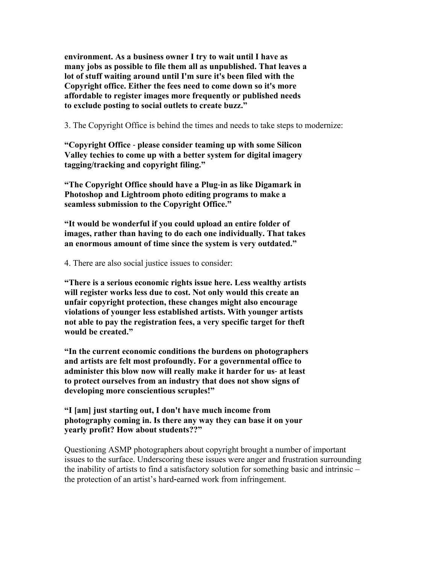**environment. As a business owner I try to wait until I have as many jobs as possible to file them all as unpublished. That leaves a lot of stuff waiting around until I'm sure it's been filed with the Copyright office. Either the fees need to come down so it's more affordable to register images more frequently or published needs to exclude posting to social outlets to create buzz."**

3. The Copyright Office is behind the times and needs to take steps to modernize:

**"Copyright Office** #"**please consider teaming up with some Silicon Valley techies to come up with a better system for digital imagery tagging/tracking and copyright filing."**

**"The Copyright Office should have a Plug**#**in as like Digamark in Photoshop and Lightroom photo editing programs to make a seamless submission to the Copyright Office."**

**"It would be wonderful if you could upload an entire folder of images, rather than having to do each one individually. That takes an enormous amount of time since the system is very outdated."**

4. There are also social justice issues to consider:

**"There is a serious economic rights issue here. Less wealthy artists will register works less due to cost. Not only would this create an unfair copyright protection, these changes might also encourage violations of younger less established artists. With younger artists not able to pay the registration fees, a very specific target for theft would be created."**

**"In the current economic conditions the burdens on photographers and artists are felt most profoundly. For a governmental office to** administer this blow now will really make it harder for us- at least **to protect ourselves from an industry that does not show signs of developing more conscientious scruples!"**

**"I [am] just starting out, I don't have much income from photography coming in. Is there any way they can base it on your yearly profit? How about students??"**

Questioning ASMP photographers about copyright brought a number of important issues to the surface. Underscoring these issues were anger and frustration surrounding the inability of artists to find a satisfactory solution for something basic and intrinsic – the protection of an artist's hard-earned work from infringement.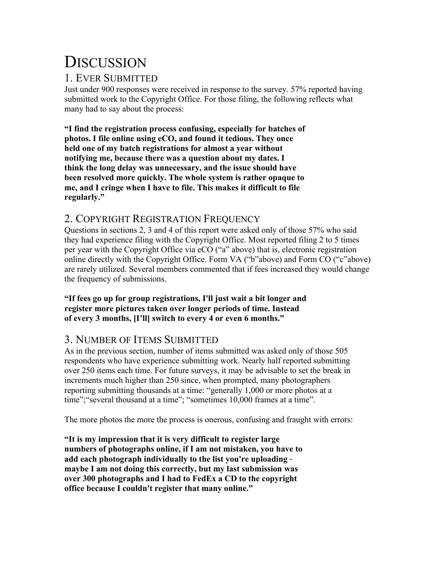# **DISCUSSION**

## 1. EVER SUBMITTED

Just under 900 responses were received in response to the survey. 57% reported having submitted work to the Copyright Office. For those filing, the following reflects what many had to say about the process:

**"I find the registration process confusing, especially for batches of photos. I file online using eCO, and found it tedious. They once held one of my batch registrations for almost a year without notifying me, because there was a question about my dates. I think the long delay was unnecessary, and the issue should have been resolved more quickly. The whole system is rather opaque to me, and I cringe when I have to file. This makes it difficult to file regularly."**

## 2. COPYRIGHT REGISTRATION FREQUENCY

Questions in sections 2, 3 and 4 of this report were asked only of those 57% who said they had experience filing with the Copyright Office. Most reported filing 2 to 5 times per year with the Copyright Office via eCO ("a" above) that is, electronic registration online directly with the Copyright Office. Form VA ("b"above) and Form CO ("c"above) are rarely utilized. Several members commented that if fees increased they would change the frequency of submissions.

**"If fees go up for group registrations, I'll just wait a bit longer and register more pictures taken over longer periods of time. Instead of every 3 months, [I'll] switch to every 4 or even 6 months."**

## 3. NUMBER OF ITEMS SUBMITTED

As in the previous section, number of items submitted was asked only of those 505 respondents who have experience submitting work. Nearly half reported submitting over 250 items each time. For future surveys, it may be advisable to set the break in increments much higher than 250 since, when prompted, many photographers reporting submitting thousands at a time: "generally 1,000 or more photos at a time";"several thousand at a time"; "sometimes 10,000 frames at a time".

The more photos the more the process is onerous, confusing and fraught with errors:

**"It is my impression that it is very difficult to register large numbers of photographs online, if I am not mistaken, you have to add each photograph individually to the list you're uploading** # **maybe I am not doing this correctly, but my last submission was over 300 photographs and I had to FedEx a CD to the copyright office because I couldn't register that many online."**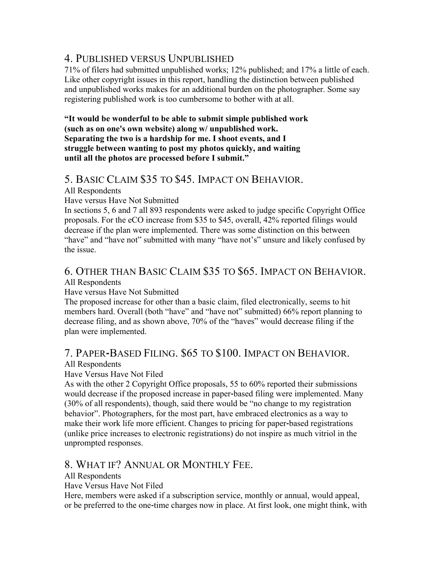## 4. PUBLISHED VERSUS UNPUBLISHED

71% of filers had submitted unpublished works; 12% published; and 17% a little of each. Like other copyright issues in this report, handling the distinction between published and unpublished works makes for an additional burden on the photographer. Some say registering published work is too cumbersome to bother with at all.

**"It would be wonderful to be able to submit simple published work (such as on one's own website) along w/ unpublished work. Separating the two is a hardship for me. I shoot events, and I struggle between wanting to post my photos quickly, and waiting until all the photos are processed before I submit."**

## 5. BASIC CLAIM \$35 TO \$45. IMPACT ON BEHAVIOR.

All Respondents

Have versus Have Not Submitted

In sections 5, 6 and 7 all 893 respondents were asked to judge specific Copyright Office proposals. For the eCO increase from \$35 to \$45, overall, 42% reported filings would decrease if the plan were implemented. There was some distinction on this between "have" and "have not" submitted with many "have not's" unsure and likely confused by the issue.

## 6. OTHER THAN BASIC CLAIM \$35 TO \$65. IMPACT ON BEHAVIOR.

All Respondents

Have versus Have Not Submitted

The proposed increase for other than a basic claim, filed electronically, seems to hit members hard. Overall (both "have" and "have not" submitted) 66% report planning to decrease filing, and as shown above, 70% of the "haves" would decrease filing if the plan were implemented.

## 7. PAPER**!**BASED FILING. \$65 TO \$100. IMPACT ON BEHAVIOR.

## All Respondents

Have Versus Have Not Filed

As with the other 2 Copyright Office proposals, 55 to 60% reported their submissions would decrease if the proposed increase in paper-based filing were implemented. Many (30% of all respondents), though, said there would be "no change to my registration behavior". Photographers, for the most part, have embraced electronics as a way to make their work life more efficient. Changes to pricing for paper-based registrations (unlike price increases to electronic registrations) do not inspire as much vitriol in the unprompted responses.

## 8. WHAT IF? ANNUAL OR MONTHLY FEE.

All Respondents

Have Versus Have Not Filed

Here, members were asked if a subscription service, monthly or annual, would appeal, or be preferred to the one**!**time charges now in place. At first look, one might think, with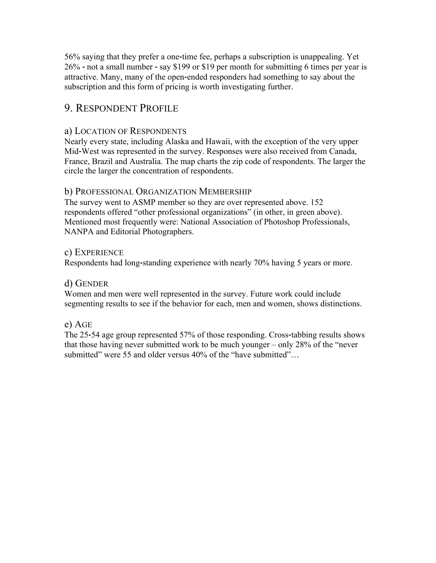56% saying that they prefer a one-time fee, perhaps a subscription is unappealing. Yet 26% **!"**not a small number **!"**say \$199 or \$19 per month for submitting 6 times per year is attractive. Many, many of the open-ended responders had something to say about the subscription and this form of pricing is worth investigating further.

## 9. RESPONDENT PROFILE

## a) LOCATION OF RESPONDENTS

Nearly every state, including Alaska and Hawaii, with the exception of the very upper Mid**!**West was represented in the survey. Responses were also received from Canada, France, Brazil and Australia. The map charts the zip code of respondents. The larger the circle the larger the concentration of respondents.

### b) PROFESSIONAL ORGANIZATION MEMBERSHIP

The survey went to ASMP member so they are over represented above. 152 respondents offered "other professional organizations" (in other, in green above). Mentioned most frequently were: National Association of Photoshop Professionals, NANPA and Editorial Photographers.

### c) EXPERIENCE

Respondents had long-standing experience with nearly 70% having 5 years or more.

## d) GENDER

Women and men were well represented in the survey. Future work could include segmenting results to see if the behavior for each, men and women, shows distinctions.

## e) AGE

The 25-54 age group represented 57% of those responding. Cross-tabbing results shows that those having never submitted work to be much younger – only 28% of the "never submitted" were 55 and older versus 40% of the "have submitted"...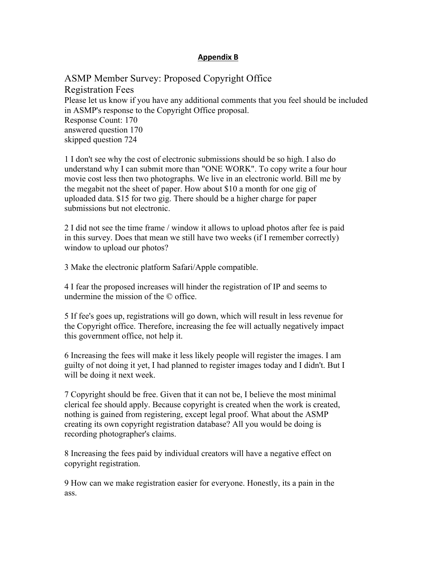### **Appendix\$B**

ASMP Member Survey: Proposed Copyright Office Registration Fees Please let us know if you have any additional comments that you feel should be included in ASMP's response to the Copyright Office proposal. Response Count: 170 answered question 170 skipped question 724

1 I don't see why the cost of electronic submissions should be so high. I also do understand why I can submit more than "ONE WORK". To copy write a four hour movie cost less then two photographs. We live in an electronic world. Bill me by the megabit not the sheet of paper. How about \$10 a month for one gig of uploaded data. \$15 for two gig. There should be a higher charge for paper submissions but not electronic.

2 I did not see the time frame / window it allows to upload photos after fee is paid in this survey. Does that mean we still have two weeks (if I remember correctly) window to upload our photos?

3 Make the electronic platform Safari/Apple compatible.

4 I fear the proposed increases will hinder the registration of IP and seems to undermine the mission of the © office.

5 If fee's goes up, registrations will go down, which will result in less revenue for the Copyright office. Therefore, increasing the fee will actually negatively impact this government office, not help it.

6 Increasing the fees will make it less likely people will register the images. I am guilty of not doing it yet, I had planned to register images today and I didn't. But I will be doing it next week.

7 Copyright should be free. Given that it can not be, I believe the most minimal clerical fee should apply. Because copyright is created when the work is created, nothing is gained from registering, except legal proof. What about the ASMP creating its own copyright registration database? All you would be doing is recording photographer's claims.

8 Increasing the fees paid by individual creators will have a negative effect on copyright registration.

9 How can we make registration easier for everyone. Honestly, its a pain in the ass.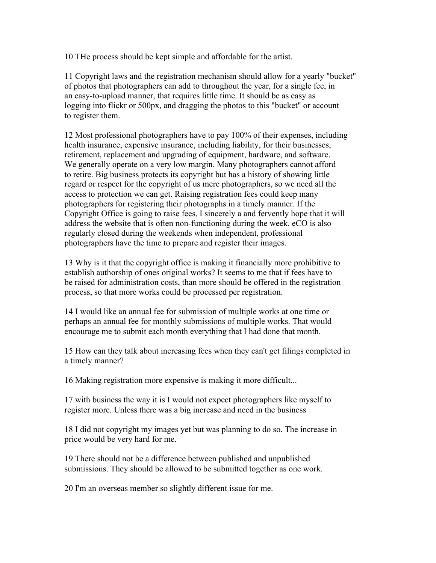10 THe process should be kept simple and affordable for the artist.

11 Copyright laws and the registration mechanism should allow for a yearly "bucket" of photos that photographers can add to throughout the year, for a single fee, in an easy-to-upload manner, that requires little time. It should be as easy as logging into flickr or 500px, and dragging the photos to this "bucket" or account to register them.

12 Most professional photographers have to pay 100% of their expenses, including health insurance, expensive insurance, including liability, for their businesses, retirement, replacement and upgrading of equipment, hardware, and software. We generally operate on a very low margin. Many photographers cannot afford to retire. Big business protects its copyright but has a history of showing little regard or respect for the copyright of us mere photographers, so we need all the access to protection we can get. Raising registration fees could keep many photographers for registering their photographs in a timely manner. If the Copyright Office is going to raise fees, I sincerely a and fervently hope that it will address the website that is often non-functioning during the week. eCO is also regularly closed during the weekends when independent, professional photographers have the time to prepare and register their images.

13 Why is it that the copyright office is making it financially more prohibitive to establish authorship of ones original works? It seems to me that if fees have to be raised for administration costs, than more should be offered in the registration process, so that more works could be processed per registration.

14 I would like an annual fee for submission of multiple works at one time or perhaps an annual fee for monthly submissions of multiple works. That would encourage me to submit each month everything that I had done that month.

15 How can they talk about increasing fees when they can't get filings completed in a timely manner?

16 Making registration more expensive is making it more difficult...

17 with business the way it is I would not expect photographers like myself to register more. Unless there was a big increase and need in the business

18 I did not copyright my images yet but was planning to do so. The increase in price would be very hard for me.

19 There should not be a difference between published and unpublished submissions. They should be allowed to be submitted together as one work.

20 I'm an overseas member so slightly different issue for me.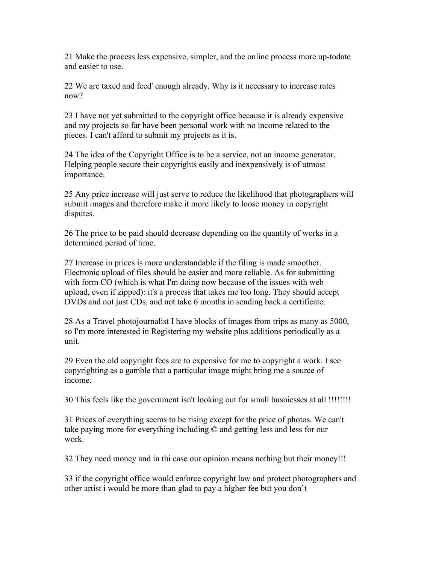21 Make the process less expensive, simpler, and the online process more up-todate and easier to use.

22 We are taxed and feed' enough already. Why is it necessary to increase rates now?

23 I have not yet submitted to the copyright office because it is already expensive and my projects so far have been personal work with no income related to the pieces. I can't afford to submit my projects as it is.

24 The idea of the Copyright Office is to be a service, not an income generator. Helping people secure their copyrights easily and inexpensively is of utmost importance.

25 Any price increase will just serve to reduce the likelihood that photographers will submit images and therefore make it more likely to loose money in copyright disputes.

26 The price to be paid should decrease depending on the quantity of works in a determined period of time.

27 Increase in prices is more understandable if the filing is made smoother. Electronic upload of files should be easier and more reliable. As for submitting with form CO (which is what I'm doing now because of the issues with web upload, even if zipped): it's a process that takes me too long. They should accept DVDs and not just CDs, and not take 6 months in sending back a certificate.

28 As a Travel photojournalist I have blocks of images from trips as many as 5000, so I'm more interested in Registering my website plus additions periodically as a unit.

29 Even the old copyright fees are to expensive for me to copyright a work. I see copyrighting as a gamble that a particular image might bring me a source of income.

30 This feels like the government isn't looking out for small busniesses at all !!!!!!!!

31 Prices of everything seems to be rising except for the price of photos. We can't take paying more for everything including © and getting less and less for our work.

32 They need money and in thi case our opinion means nothing but their money!!!

33 if the copyright office would enforce copyright law and protect photographers and other artist i would be more than glad to pay a higher fee but you don't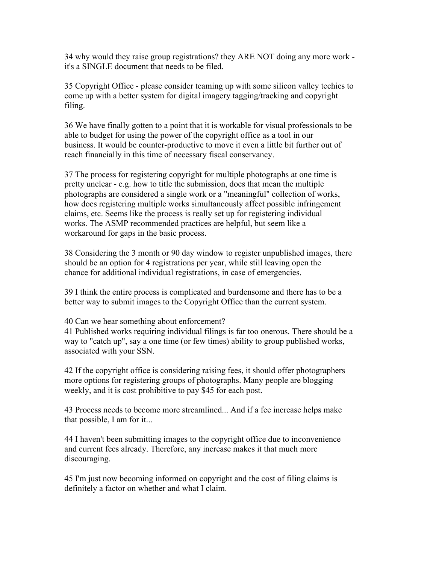34 why would they raise group registrations? they ARE NOT doing any more work it's a SINGLE document that needs to be filed.

35 Copyright Office - please consider teaming up with some silicon valley techies to come up with a better system for digital imagery tagging/tracking and copyright filing.

36 We have finally gotten to a point that it is workable for visual professionals to be able to budget for using the power of the copyright office as a tool in our business. It would be counter-productive to move it even a little bit further out of reach financially in this time of necessary fiscal conservancy.

37 The process for registering copyright for multiple photographs at one time is pretty unclear - e.g. how to title the submission, does that mean the multiple photographs are considered a single work or a "meaningful" collection of works, how does registering multiple works simultaneously affect possible infringement claims, etc. Seems like the process is really set up for registering individual works. The ASMP recommended practices are helpful, but seem like a workaround for gaps in the basic process.

38 Considering the 3 month or 90 day window to register unpublished images, there should be an option for 4 registrations per year, while still leaving open the chance for additional individual registrations, in case of emergencies.

39 I think the entire process is complicated and burdensome and there has to be a better way to submit images to the Copyright Office than the current system.

40 Can we hear something about enforcement?

41 Published works requiring individual filings is far too onerous. There should be a way to "catch up", say a one time (or few times) ability to group published works, associated with your SSN.

42 If the copyright office is considering raising fees, it should offer photographers more options for registering groups of photographs. Many people are blogging weekly, and it is cost prohibitive to pay \$45 for each post.

43 Process needs to become more streamlined... And if a fee increase helps make that possible, I am for it...

44 I haven't been submitting images to the copyright office due to inconvenience and current fees already. Therefore, any increase makes it that much more discouraging.

45 I'm just now becoming informed on copyright and the cost of filing claims is definitely a factor on whether and what I claim.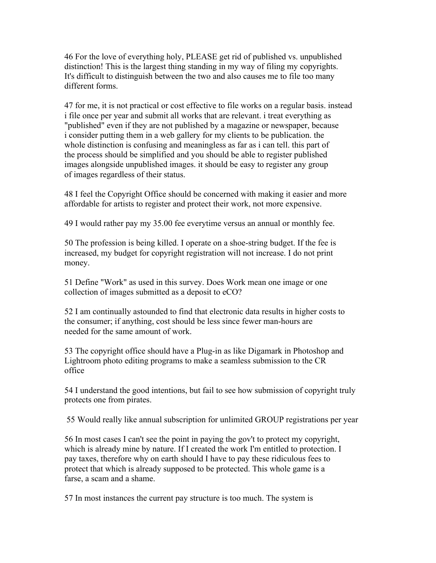46 For the love of everything holy, PLEASE get rid of published vs. unpublished distinction! This is the largest thing standing in my way of filing my copyrights. It's difficult to distinguish between the two and also causes me to file too many different forms.

47 for me, it is not practical or cost effective to file works on a regular basis. instead i file once per year and submit all works that are relevant. i treat everything as "published" even if they are not published by a magazine or newspaper, because i consider putting them in a web gallery for my clients to be publication. the whole distinction is confusing and meaningless as far as i can tell, this part of the process should be simplified and you should be able to register published images alongside unpublished images. it should be easy to register any group of images regardless of their status.

48 I feel the Copyright Office should be concerned with making it easier and more affordable for artists to register and protect their work, not more expensive.

49 I would rather pay my 35.00 fee everytime versus an annual or monthly fee.

50 The profession is being killed. I operate on a shoe-string budget. If the fee is increased, my budget for copyright registration will not increase. I do not print money.

51 Define "Work" as used in this survey. Does Work mean one image or one collection of images submitted as a deposit to eCO?

52 I am continually astounded to find that electronic data results in higher costs to the consumer; if anything, cost should be less since fewer man-hours are needed for the same amount of work.

53 The copyright office should have a Plug-in as like Digamark in Photoshop and Lightroom photo editing programs to make a seamless submission to the CR office

54 I understand the good intentions, but fail to see how submission of copyright truly protects one from pirates.

55 Would really like annual subscription for unlimited GROUP registrations per year

56 In most cases I can't see the point in paying the gov't to protect my copyright, which is already mine by nature. If I created the work I'm entitled to protection. I pay taxes, therefore why on earth should I have to pay these ridiculous fees to protect that which is already supposed to be protected. This whole game is a farse, a scam and a shame.

57 In most instances the current pay structure is too much. The system is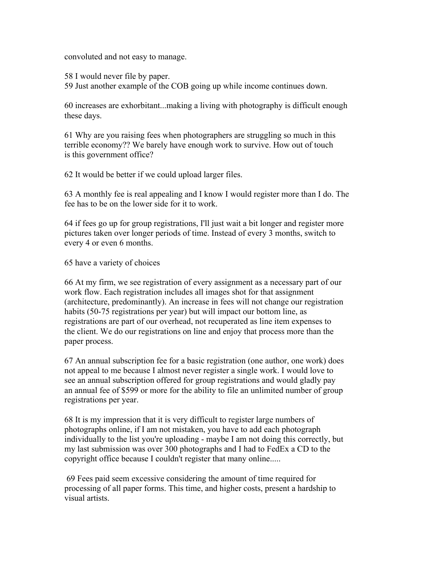convoluted and not easy to manage.

58 I would never file by paper.

59 Just another example of the COB going up while income continues down.

60 increases are exhorbitant...making a living with photography is difficult enough these days.

61 Why are you raising fees when photographers are struggling so much in this terrible economy?? We barely have enough work to survive. How out of touch is this government office?

62 It would be better if we could upload larger files.

63 A monthly fee is real appealing and I know I would register more than I do. The fee has to be on the lower side for it to work.

64 if fees go up for group registrations, I'll just wait a bit longer and register more pictures taken over longer periods of time. Instead of every 3 months, switch to every 4 or even 6 months.

65 have a variety of choices

66 At my firm, we see registration of every assignment as a necessary part of our work flow. Each registration includes all images shot for that assignment (architecture, predominantly). An increase in fees will not change our registration habits (50-75 registrations per year) but will impact our bottom line, as registrations are part of our overhead, not recuperated as line item expenses to the client. We do our registrations on line and enjoy that process more than the paper process.

67 An annual subscription fee for a basic registration (one author, one work) does not appeal to me because I almost never register a single work. I would love to see an annual subscription offered for group registrations and would gladly pay an annual fee of \$599 or more for the ability to file an unlimited number of group registrations per year.

68 It is my impression that it is very difficult to register large numbers of photographs online, if I am not mistaken, you have to add each photograph individually to the list you're uploading - maybe I am not doing this correctly, but my last submission was over 300 photographs and I had to FedEx a CD to the copyright office because I couldn't register that many online.....

69 Fees paid seem excessive considering the amount of time required for processing of all paper forms. This time, and higher costs, present a hardship to visual artists.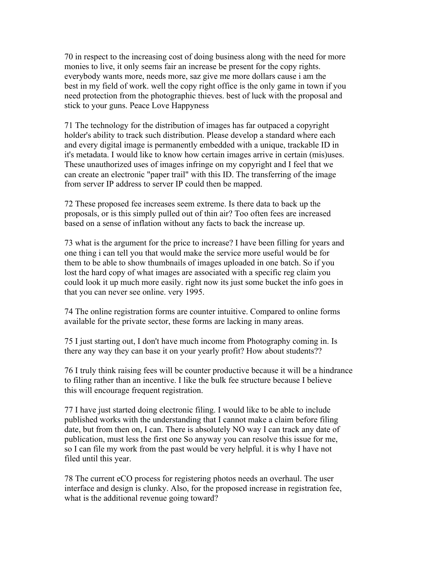70 in respect to the increasing cost of doing business along with the need for more monies to live, it only seems fair an increase be present for the copy rights. everybody wants more, needs more, saz give me more dollars cause i am the best in my field of work. well the copy right office is the only game in town if you need protection from the photographic thieves. best of luck with the proposal and stick to your guns. Peace Love Happyness

71 The technology for the distribution of images has far outpaced a copyright holder's ability to track such distribution. Please develop a standard where each and every digital image is permanently embedded with a unique, trackable ID in it's metadata. I would like to know how certain images arrive in certain (mis)uses. These unauthorized uses of images infringe on my copyright and I feel that we can create an electronic "paper trail" with this ID. The transferring of the image from server IP address to server IP could then be mapped.

72 These proposed fee increases seem extreme. Is there data to back up the proposals, or is this simply pulled out of thin air? Too often fees are increased based on a sense of inflation without any facts to back the increase up.

73 what is the argument for the price to increase? I have been filling for years and one thing i can tell you that would make the service more useful would be for them to be able to show thumbnails of images uploaded in one batch. So if you lost the hard copy of what images are associated with a specific reg claim you could look it up much more easily. right now its just some bucket the info goes in that you can never see online. very 1995.

74 The online registration forms are counter intuitive. Compared to online forms available for the private sector, these forms are lacking in many areas.

75 I just starting out, I don't have much income from Photography coming in. Is there any way they can base it on your yearly profit? How about students??

76 I truly think raising fees will be counter productive because it will be a hindrance to filing rather than an incentive. I like the bulk fee structure because I believe this will encourage frequent registration.

77 I have just started doing electronic filing. I would like to be able to include published works with the understanding that I cannot make a claim before filing date, but from then on, I can. There is absolutely NO way I can track any date of publication, must less the first one So anyway you can resolve this issue for me, so I can file my work from the past would be very helpful. it is why I have not filed until this year.

78 The current eCO process for registering photos needs an overhaul. The user interface and design is clunky. Also, for the proposed increase in registration fee, what is the additional revenue going toward?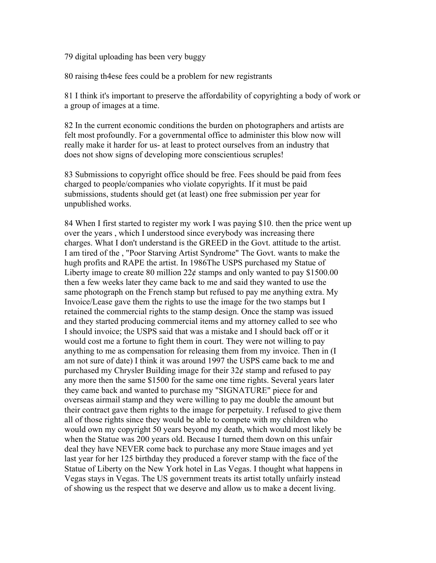79 digital uploading has been very buggy

80 raising th4ese fees could be a problem for new registrants

81 I think it's important to preserve the affordability of copyrighting a body of work or a group of images at a time.

82 In the current economic conditions the burden on photographers and artists are felt most profoundly. For a governmental office to administer this blow now will really make it harder for us- at least to protect ourselves from an industry that does not show signs of developing more conscientious scruples!

83 Submissions to copyright office should be free. Fees should be paid from fees charged to people/companies who violate copyrights. If it must be paid submissions, students should get (at least) one free submission per year for unpublished works.

84 When I first started to register my work I was paying \$10. then the price went up over the years , which I understood since everybody was increasing there charges. What I don't understand is the GREED in the Govt. attitude to the artist. I am tired of the , "Poor Starving Artist Syndrome" The Govt. wants to make the hugh profits and RAPE the artist. In 1986The USPS purchased my Statue of Liberty image to create 80 million  $22¢$  stamps and only wanted to pay \$1500.00 then a few weeks later they came back to me and said they wanted to use the same photograph on the French stamp but refused to pay me anything extra. My Invoice/Lease gave them the rights to use the image for the two stamps but I retained the commercial rights to the stamp design. Once the stamp was issued and they started producing commercial items and my attorney called to see who I should invoice; the USPS said that was a mistake and I should back off or it would cost me a fortune to fight them in court. They were not willing to pay anything to me as compensation for releasing them from my invoice. Then in (I am not sure of date) I think it was around 1997 the USPS came back to me and purchased my Chrysler Building image for their  $32\ell$  stamp and refused to pay any more then the same \$1500 for the same one time rights. Several years later they came back and wanted to purchase my "SIGNATURE" piece for and overseas airmail stamp and they were willing to pay me double the amount but their contract gave them rights to the image for perpetuity. I refused to give them all of those rights since they would be able to compete with my children who would own my copyright 50 years beyond my death, which would most likely be when the Statue was 200 years old. Because I turned them down on this unfair deal they have NEVER come back to purchase any more Staue images and yet last year for her 125 birthday they produced a forever stamp with the face of the Statue of Liberty on the New York hotel in Las Vegas. I thought what happens in Vegas stays in Vegas. The US government treats its artist totally unfairly instead of showing us the respect that we deserve and allow us to make a decent living.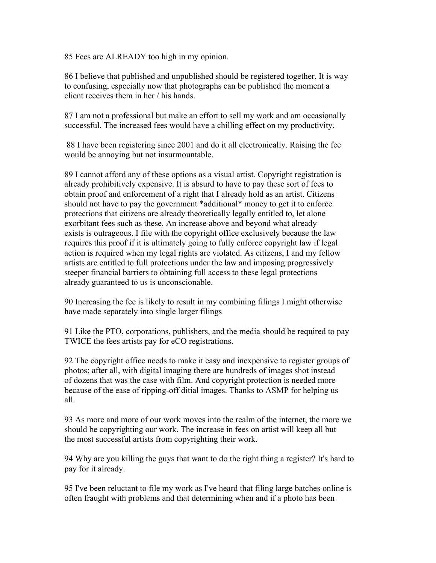85 Fees are ALREADY too high in my opinion.

86 I believe that published and unpublished should be registered together. It is way to confusing, especially now that photographs can be published the moment a client receives them in her / his hands.

87 I am not a professional but make an effort to sell my work and am occasionally successful. The increased fees would have a chilling effect on my productivity.

88 I have been registering since 2001 and do it all electronically. Raising the fee would be annoying but not insurmountable.

89 I cannot afford any of these options as a visual artist. Copyright registration is already prohibitively expensive. It is absurd to have to pay these sort of fees to obtain proof and enforcement of a right that I already hold as an artist. Citizens should not have to pay the government \*additional\* money to get it to enforce protections that citizens are already theoretically legally entitled to, let alone exorbitant fees such as these. An increase above and beyond what already exists is outrageous. I file with the copyright office exclusively because the law requires this proof if it is ultimately going to fully enforce copyright law if legal action is required when my legal rights are violated. As citizens, I and my fellow artists are entitled to full protections under the law and imposing progressively steeper financial barriers to obtaining full access to these legal protections already guaranteed to us is unconscionable.

90 Increasing the fee is likely to result in my combining filings I might otherwise have made separately into single larger filings

91 Like the PTO, corporations, publishers, and the media should be required to pay TWICE the fees artists pay for eCO registrations.

92 The copyright office needs to make it easy and inexpensive to register groups of photos; after all, with digital imaging there are hundreds of images shot instead of dozens that was the case with film. And copyright protection is needed more because of the ease of ripping-off ditial images. Thanks to ASMP for helping us all.

93 As more and more of our work moves into the realm of the internet, the more we should be copyrighting our work. The increase in fees on artist will keep all but the most successful artists from copyrighting their work.

94 Why are you killing the guys that want to do the right thing a register? It's hard to pay for it already.

95 I've been reluctant to file my work as I've heard that filing large batches online is often fraught with problems and that determining when and if a photo has been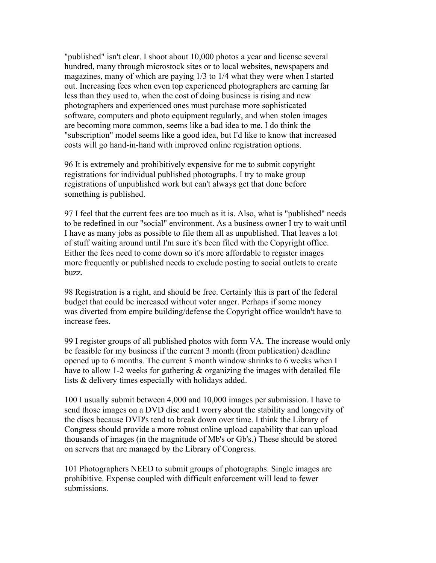"published" isn't clear. I shoot about 10,000 photos a year and license several hundred, many through microstock sites or to local websites, newspapers and magazines, many of which are paying 1/3 to 1/4 what they were when I started out. Increasing fees when even top experienced photographers are earning far less than they used to, when the cost of doing business is rising and new photographers and experienced ones must purchase more sophisticated software, computers and photo equipment regularly, and when stolen images are becoming more common, seems like a bad idea to me. I do think the "subscription" model seems like a good idea, but I'd like to know that increased costs will go hand-in-hand with improved online registration options.

96 It is extremely and prohibitively expensive for me to submit copyright registrations for individual published photographs. I try to make group registrations of unpublished work but can't always get that done before something is published.

97 I feel that the current fees are too much as it is. Also, what is "published" needs to be redefined in our "social" environment. As a business owner I try to wait until I have as many jobs as possible to file them all as unpublished. That leaves a lot of stuff waiting around until I'm sure it's been filed with the Copyright office. Either the fees need to come down so it's more affordable to register images more frequently or published needs to exclude posting to social outlets to create buzz.

98 Registration is a right, and should be free. Certainly this is part of the federal budget that could be increased without voter anger. Perhaps if some money was diverted from empire building/defense the Copyright office wouldn't have to increase fees.

99 I register groups of all published photos with form VA. The increase would only be feasible for my business if the current 3 month (from publication) deadline opened up to 6 months. The current 3 month window shrinks to 6 weeks when I have to allow 1-2 weeks for gathering  $\&$  organizing the images with detailed file lists & delivery times especially with holidays added.

100 I usually submit between 4,000 and 10,000 images per submission. I have to send those images on a DVD disc and I worry about the stability and longevity of the discs because DVD's tend to break down over time. I think the Library of Congress should provide a more robust online upload capability that can upload thousands of images (in the magnitude of Mb's or Gb's.) These should be stored on servers that are managed by the Library of Congress.

101 Photographers NEED to submit groups of photographs. Single images are prohibitive. Expense coupled with difficult enforcement will lead to fewer submissions.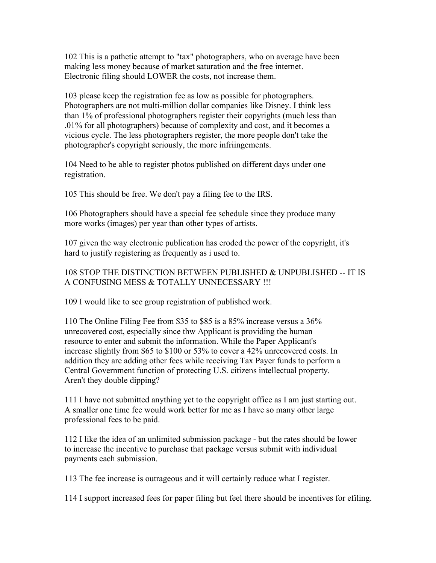102 This is a pathetic attempt to "tax" photographers, who on average have been making less money because of market saturation and the free internet. Electronic filing should LOWER the costs, not increase them.

103 please keep the registration fee as low as possible for photographers. Photographers are not multi-million dollar companies like Disney. I think less than 1% of professional photographers register their copyrights (much less than .01% for all photographers) because of complexity and cost, and it becomes a vicious cycle. The less photographers register, the more people don't take the photographer's copyright seriously, the more infriingements.

104 Need to be able to register photos published on different days under one registration.

105 This should be free. We don't pay a filing fee to the IRS.

106 Photographers should have a special fee schedule since they produce many more works (images) per year than other types of artists.

107 given the way electronic publication has eroded the power of the copyright, it's hard to justify registering as frequently as i used to.

### 108 STOP THE DISTINCTION BETWEEN PUBLISHED & UNPUBLISHED -- IT IS A CONFUSING MESS & TOTALLY UNNECESSARY !!!

109 I would like to see group registration of published work.

110 The Online Filing Fee from \$35 to \$85 is a 85% increase versus a 36% unrecovered cost, especially since thw Applicant is providing the human resource to enter and submit the information. While the Paper Applicant's increase slightly from \$65 to \$100 or 53% to cover a 42% unrecovered costs. In addition they are adding other fees while receiving Tax Payer funds to perform a Central Government function of protecting U.S. citizens intellectual property. Aren't they double dipping?

111 I have not submitted anything yet to the copyright office as I am just starting out. A smaller one time fee would work better for me as I have so many other large professional fees to be paid.

112 I like the idea of an unlimited submission package - but the rates should be lower to increase the incentive to purchase that package versus submit with individual payments each submission.

113 The fee increase is outrageous and it will certainly reduce what I register.

114 I support increased fees for paper filing but feel there should be incentives for efiling.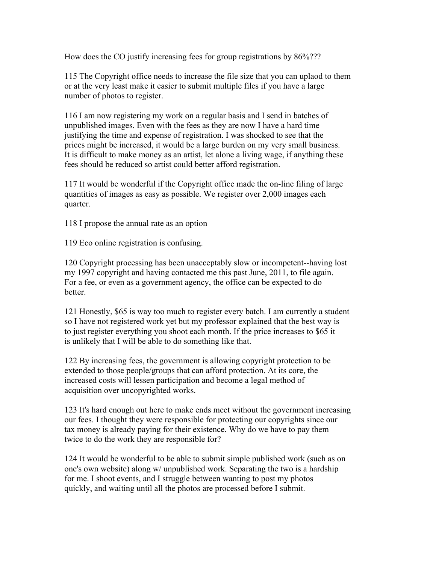How does the CO justify increasing fees for group registrations by 86%???

115 The Copyright office needs to increase the file size that you can uplaod to them or at the very least make it easier to submit multiple files if you have a large number of photos to register.

116 I am now registering my work on a regular basis and I send in batches of unpublished images. Even with the fees as they are now I have a hard time justifying the time and expense of registration. I was shocked to see that the prices might be increased, it would be a large burden on my very small business. It is difficult to make money as an artist, let alone a living wage, if anything these fees should be reduced so artist could better afford registration.

117 It would be wonderful if the Copyright office made the on-line filing of large quantities of images as easy as possible. We register over 2,000 images each quarter.

118 I propose the annual rate as an option

119 Eco online registration is confusing.

120 Copyright processing has been unacceptably slow or incompetent--having lost my 1997 copyright and having contacted me this past June, 2011, to file again. For a fee, or even as a government agency, the office can be expected to do better.

121 Honestly, \$65 is way too much to register every batch. I am currently a student so I have not registered work yet but my professor explained that the best way is to just register everything you shoot each month. If the price increases to \$65 it is unlikely that I will be able to do something like that.

122 By increasing fees, the government is allowing copyright protection to be extended to those people/groups that can afford protection. At its core, the increased costs will lessen participation and become a legal method of acquisition over uncopyrighted works.

123 It's hard enough out here to make ends meet without the government increasing our fees. I thought they were responsible for protecting our copyrights since our tax money is already paying for their existence. Why do we have to pay them twice to do the work they are responsible for?

124 It would be wonderful to be able to submit simple published work (such as on one's own website) along w/ unpublished work. Separating the two is a hardship for me. I shoot events, and I struggle between wanting to post my photos quickly, and waiting until all the photos are processed before I submit.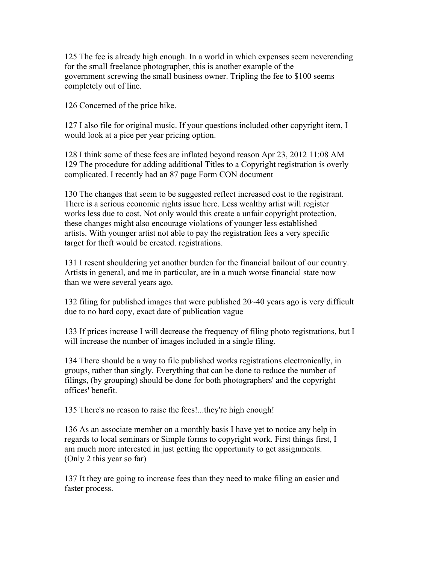125 The fee is already high enough. In a world in which expenses seem neverending for the small freelance photographer, this is another example of the government screwing the small business owner. Tripling the fee to \$100 seems completely out of line.

126 Concerned of the price hike.

127 I also file for original music. If your questions included other copyright item, I would look at a pice per year pricing option.

128 I think some of these fees are inflated beyond reason Apr 23, 2012 11:08 AM 129 The procedure for adding additional Titles to a Copyright registration is overly complicated. I recently had an 87 page Form CON document

130 The changes that seem to be suggested reflect increased cost to the registrant. There is a serious economic rights issue here. Less wealthy artist will register works less due to cost. Not only would this create a unfair copyright protection, these changes might also encourage violations of younger less established artists. With younger artist not able to pay the registration fees a very specific target for theft would be created. registrations.

131 I resent shouldering yet another burden for the financial bailout of our country. Artists in general, and me in particular, are in a much worse financial state now than we were several years ago.

132 filing for published images that were published 20~40 years ago is very difficult due to no hard copy, exact date of publication vague

133 If prices increase I will decrease the frequency of filing photo registrations, but I will increase the number of images included in a single filing.

134 There should be a way to file published works registrations electronically, in groups, rather than singly. Everything that can be done to reduce the number of filings, (by grouping) should be done for both photographers' and the copyright offices' benefit.

135 There's no reason to raise the fees!...they're high enough!

136 As an associate member on a monthly basis I have yet to notice any help in regards to local seminars or Simple forms to copyright work. First things first, I am much more interested in just getting the opportunity to get assignments. (Only 2 this year so far)

137 It they are going to increase fees than they need to make filing an easier and faster process.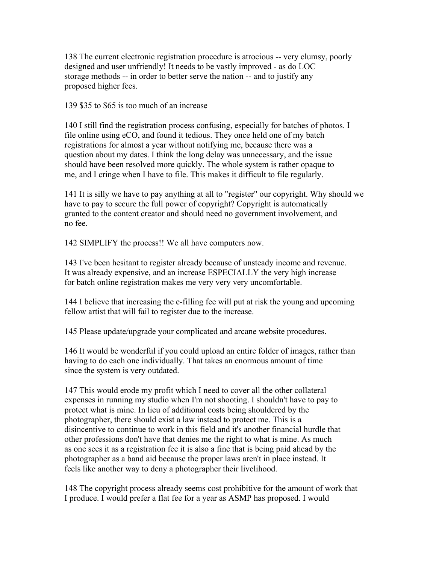138 The current electronic registration procedure is atrocious -- very clumsy, poorly designed and user unfriendly! It needs to be vastly improved - as do LOC storage methods -- in order to better serve the nation -- and to justify any proposed higher fees.

139 \$35 to \$65 is too much of an increase

140 I still find the registration process confusing, especially for batches of photos. I file online using eCO, and found it tedious. They once held one of my batch registrations for almost a year without notifying me, because there was a question about my dates. I think the long delay was unnecessary, and the issue should have been resolved more quickly. The whole system is rather opaque to me, and I cringe when I have to file. This makes it difficult to file regularly.

141 It is silly we have to pay anything at all to "register" our copyright. Why should we have to pay to secure the full power of copyright? Copyright is automatically granted to the content creator and should need no government involvement, and no fee.

142 SIMPLIFY the process!! We all have computers now.

143 I've been hesitant to register already because of unsteady income and revenue. It was already expensive, and an increase ESPECIALLY the very high increase for batch online registration makes me very very very uncomfortable.

144 I believe that increasing the e-filling fee will put at risk the young and upcoming fellow artist that will fail to register due to the increase.

145 Please update/upgrade your complicated and arcane website procedures.

146 It would be wonderful if you could upload an entire folder of images, rather than having to do each one individually. That takes an enormous amount of time since the system is very outdated.

147 This would erode my profit which I need to cover all the other collateral expenses in running my studio when I'm not shooting. I shouldn't have to pay to protect what is mine. In lieu of additional costs being shouldered by the photographer, there should exist a law instead to protect me. This is a disincentive to continue to work in this field and it's another financial hurdle that other professions don't have that denies me the right to what is mine. As much as one sees it as a registration fee it is also a fine that is being paid ahead by the photographer as a band aid because the proper laws aren't in place instead. It feels like another way to deny a photographer their livelihood.

148 The copyright process already seems cost prohibitive for the amount of work that I produce. I would prefer a flat fee for a year as ASMP has proposed. I would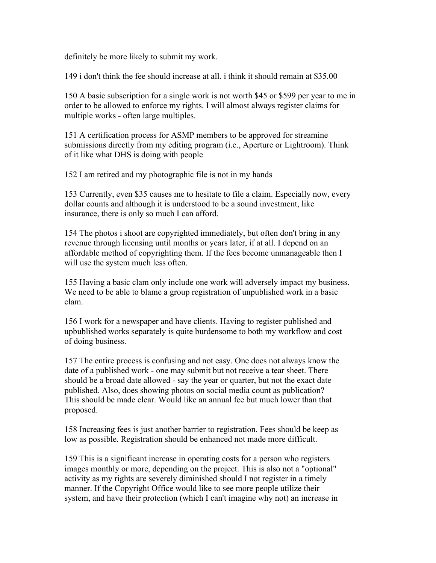definitely be more likely to submit my work.

149 i don't think the fee should increase at all. i think it should remain at \$35.00

150 A basic subscription for a single work is not worth \$45 or \$599 per year to me in order to be allowed to enforce my rights. I will almost always register claims for multiple works - often large multiples.

151 A certification process for ASMP members to be approved for streamine submissions directly from my editing program (i.e., Aperture or Lightroom). Think of it like what DHS is doing with people

152 I am retired and my photographic file is not in my hands

153 Currently, even \$35 causes me to hesitate to file a claim. Especially now, every dollar counts and although it is understood to be a sound investment, like insurance, there is only so much I can afford.

154 The photos i shoot are copyrighted immediately, but often don't bring in any revenue through licensing until months or years later, if at all. I depend on an affordable method of copyrighting them. If the fees become unmanageable then I will use the system much less often.

155 Having a basic clam only include one work will adversely impact my business. We need to be able to blame a group registration of unpublished work in a basic clam.

156 I work for a newspaper and have clients. Having to register published and upbublished works separately is quite burdensome to both my workflow and cost of doing business.

157 The entire process is confusing and not easy. One does not always know the date of a published work - one may submit but not receive a tear sheet. There should be a broad date allowed - say the year or quarter, but not the exact date published. Also, does showing photos on social media count as publication? This should be made clear. Would like an annual fee but much lower than that proposed.

158 Increasing fees is just another barrier to registration. Fees should be keep as low as possible. Registration should be enhanced not made more difficult.

159 This is a significant increase in operating costs for a person who registers images monthly or more, depending on the project. This is also not a "optional" activity as my rights are severely diminished should I not register in a timely manner. If the Copyright Office would like to see more people utilize their system, and have their protection (which I can't imagine why not) an increase in